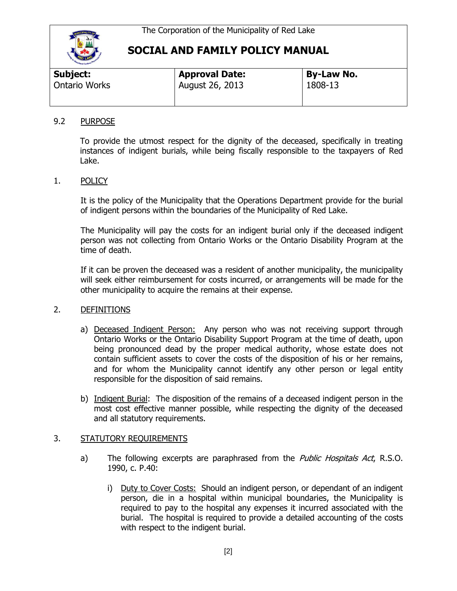

| Subject:             | <b>Approval Date:</b> | <b>By-Law No.</b> |  |
|----------------------|-----------------------|-------------------|--|
| <b>Ontario Works</b> | August 26, 2013       | 1808-13           |  |
|                      |                       |                   |  |

#### 9.2 PURPOSE

To provide the utmost respect for the dignity of the deceased, specifically in treating instances of indigent burials, while being fiscally responsible to the taxpayers of Red Lake.

### 1. POLICY

It is the policy of the Municipality that the Operations Department provide for the burial of indigent persons within the boundaries of the Municipality of Red Lake.

The Municipality will pay the costs for an indigent burial only if the deceased indigent person was not collecting from Ontario Works or the Ontario Disability Program at the time of death.

If it can be proven the deceased was a resident of another municipality, the municipality will seek either reimbursement for costs incurred, or arrangements will be made for the other municipality to acquire the remains at their expense.

### 2. DEFINITIONS

- a) Deceased Indigent Person: Any person who was not receiving support through Ontario Works or the Ontario Disability Support Program at the time of death, upon being pronounced dead by the proper medical authority, whose estate does not contain sufficient assets to cover the costs of the disposition of his or her remains, and for whom the Municipality cannot identify any other person or legal entity responsible for the disposition of said remains.
- b) Indigent Burial: The disposition of the remains of a deceased indigent person in the most cost effective manner possible, while respecting the dignity of the deceased and all statutory requirements.

### 3. STATUTORY REQUIREMENTS

- a) The following excerpts are paraphrased from the *Public Hospitals Act*, R.S.O. 1990, c. P.40:
	- i) Duty to Cover Costs: Should an indigent person, or dependant of an indigent person, die in a hospital within municipal boundaries, the Municipality is required to pay to the hospital any expenses it incurred associated with the burial. The hospital is required to provide a detailed accounting of the costs with respect to the indigent burial.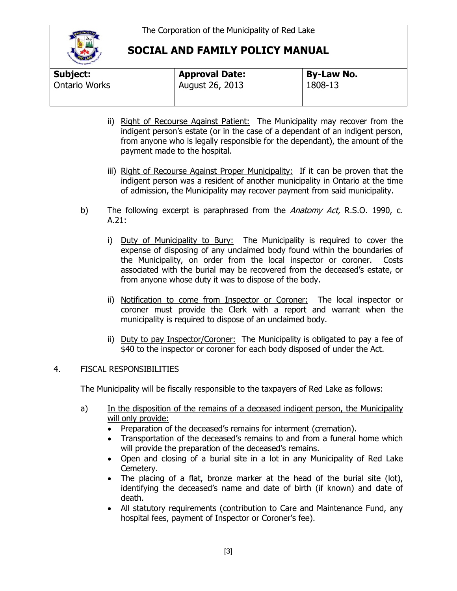

| Subject:             | <b>Approval Date:</b> | <b>By-Law No.</b> |  |
|----------------------|-----------------------|-------------------|--|
| <b>Ontario Works</b> | August 26, 2013       | 1808-13           |  |

- ii) Right of Recourse Against Patient: The Municipality may recover from the indigent person's estate (or in the case of a dependant of an indigent person, from anyone who is legally responsible for the dependant), the amount of the payment made to the hospital.
- iii) Right of Recourse Against Proper Municipality: If it can be proven that the indigent person was a resident of another municipality in Ontario at the time of admission, the Municipality may recover payment from said municipality.
- b) The following excerpt is paraphrased from the *Anatomy Act*, R.S.O. 1990, c. A.21:
	- i) Duty of Municipality to Bury: The Municipality is required to cover the expense of disposing of any unclaimed body found within the boundaries of the Municipality, on order from the local inspector or coroner. Costs associated with the burial may be recovered from the deceased's estate, or from anyone whose duty it was to dispose of the body.
	- ii) Notification to come from Inspector or Coroner: The local inspector or coroner must provide the Clerk with a report and warrant when the municipality is required to dispose of an unclaimed body.
	- ii) Duty to pay Inspector/Coroner: The Municipality is obligated to pay a fee of \$40 to the inspector or coroner for each body disposed of under the Act.

### 4. FISCAL RESPONSIBILITIES

The Municipality will be fiscally responsible to the taxpayers of Red Lake as follows:

- a) In the disposition of the remains of a deceased indigent person, the Municipality will only provide:
	- Preparation of the deceased's remains for interment (cremation).
	- Transportation of the deceased's remains to and from a funeral home which will provide the preparation of the deceased's remains.
	- Open and closing of a burial site in a lot in any Municipality of Red Lake Cemetery.
	- The placing of a flat, bronze marker at the head of the burial site (lot), identifying the deceased's name and date of birth (if known) and date of death.
	- All statutory requirements (contribution to Care and Maintenance Fund, any hospital fees, payment of Inspector or Coroner's fee).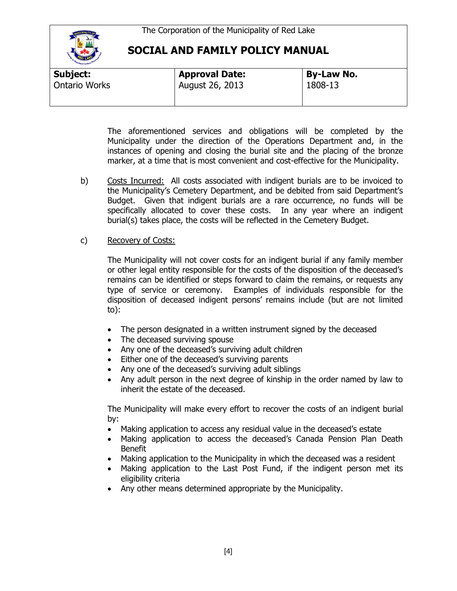

| <b>Hand Carloon</b><br>Subject: | <b>Approval Date:</b> | <b>By-Law No.</b> |
|---------------------------------|-----------------------|-------------------|
| <b>Ontario Works</b>            | August 26, 2013       | 1808-13           |
|                                 |                       |                   |

The aforementioned services and obligations will be completed by the Municipality under the direction of the Operations Department and, in the instances of opening and closing the burial site and the placing of the bronze marker, at a time that is most convenient and cost-effective for the Municipality.

b) Costs Incurred: All costs associated with indigent burials are to be invoiced to the Municipality's Cemetery Department, and be debited from said Department's Budget. Given that indigent burials are a rare occurrence, no funds will be specifically allocated to cover these costs. In any year where an indigent burial(s) takes place, the costs will be reflected in the Cemetery Budget.

### c) Recovery of Costs:

The Municipality will not cover costs for an indigent burial if any family member or other legal entity responsible for the costs of the disposition of the deceased's remains can be identified or steps forward to claim the remains, or requests any type of service or ceremony. Examples of individuals responsible for the disposition of deceased indigent persons' remains include (but are not limited to):

- The person designated in a written instrument signed by the deceased
- The deceased surviving spouse
- Any one of the deceased's surviving adult children
- Either one of the deceased's surviving parents
- Any one of the deceased's surviving adult siblings
- Any adult person in the next degree of kinship in the order named by law to inherit the estate of the deceased.

The Municipality will make every effort to recover the costs of an indigent burial by:

- Making application to access any residual value in the deceased's estate
- Making application to access the deceased's Canada Pension Plan Death Benefit
- Making application to the Municipality in which the deceased was a resident
- Making application to the Last Post Fund, if the indigent person met its eligibility criteria
- Any other means determined appropriate by the Municipality.